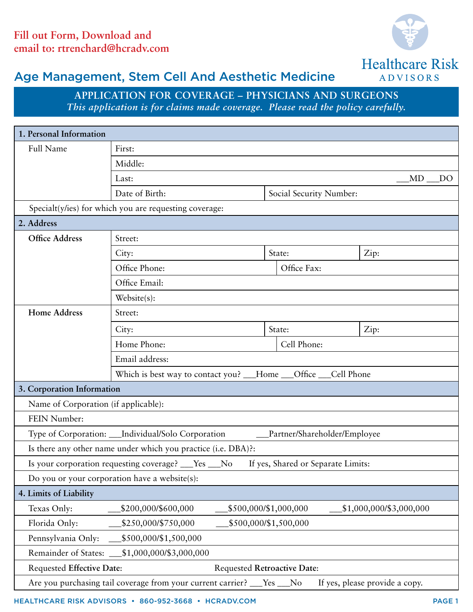

**ADVISORS** 

## Age Management, Stem Cell And Aesthetic Medicine

**Application for Coverage – Physicians and Surgeons** *This application is for claims made coverage. Please read the policy carefully.*

| 1. Personal Information                                                                                  |                                                                   |                       |                         |                         |
|----------------------------------------------------------------------------------------------------------|-------------------------------------------------------------------|-----------------------|-------------------------|-------------------------|
| <b>Full Name</b>                                                                                         | First:                                                            |                       |                         |                         |
|                                                                                                          | Middle:                                                           |                       |                         |                         |
|                                                                                                          | Last:                                                             |                       |                         | MD<br>$_{\rm DO}$       |
|                                                                                                          | Date of Birth:                                                    |                       | Social Security Number: |                         |
|                                                                                                          | Specialt(y/ies) for which you are requesting coverage:            |                       |                         |                         |
| 2. Address                                                                                               |                                                                   |                       |                         |                         |
| <b>Office Address</b>                                                                                    | Street:                                                           |                       |                         |                         |
|                                                                                                          | City:                                                             | State:                |                         | Zip:                    |
|                                                                                                          | Office Phone:                                                     | Office Fax:           |                         |                         |
|                                                                                                          | Office Email:                                                     |                       |                         |                         |
|                                                                                                          | Website(s):                                                       |                       |                         |                         |
| <b>Home Address</b>                                                                                      | Street:                                                           |                       |                         |                         |
|                                                                                                          | City:                                                             | State:                |                         | Zip:                    |
|                                                                                                          | Home Phone:                                                       | Cell Phone:           |                         |                         |
|                                                                                                          | Email address:                                                    |                       |                         |                         |
|                                                                                                          | Which is best way to contact you? ___Home ___Office ___Cell Phone |                       |                         |                         |
| 3. Corporation Information                                                                               |                                                                   |                       |                         |                         |
| Name of Corporation (if applicable):                                                                     |                                                                   |                       |                         |                         |
| FEIN Number:                                                                                             |                                                                   |                       |                         |                         |
| Type of Corporation: __Individual/Solo Corporation<br>Partner/Shareholder/Employee                       |                                                                   |                       |                         |                         |
| Is there any other name under which you practice (i.e. DBA)?:                                            |                                                                   |                       |                         |                         |
| Is your corporation requesting coverage? ___Yes ___No<br>If yes, Shared or Separate Limits:              |                                                                   |                       |                         |                         |
| Do you or your corporation have a website(s):                                                            |                                                                   |                       |                         |                         |
| 4. Limits of Liability                                                                                   |                                                                   |                       |                         |                         |
| Texas Only:                                                                                              | \$200,000/\$600,000                                               | \$500,000/\$1,000,000 |                         | \$1,000,000/\$3,000,000 |
| \$500,000/\$1,500,000<br>Florida Only:<br>\$250,000/\$750,000                                            |                                                                   |                       |                         |                         |
| \$500,000/\$1,500,000<br>Pennsylvania Only:                                                              |                                                                   |                       |                         |                         |
| \$1,000,000/\$3,000,000<br>Remainder of States: _                                                        |                                                                   |                       |                         |                         |
| <b>Requested Effective Date:</b><br><b>Requested Retroactive Date:</b>                                   |                                                                   |                       |                         |                         |
| Are you purchasing tail coverage from your current carrier? __Yes __No<br>If yes, please provide a copy. |                                                                   |                       |                         |                         |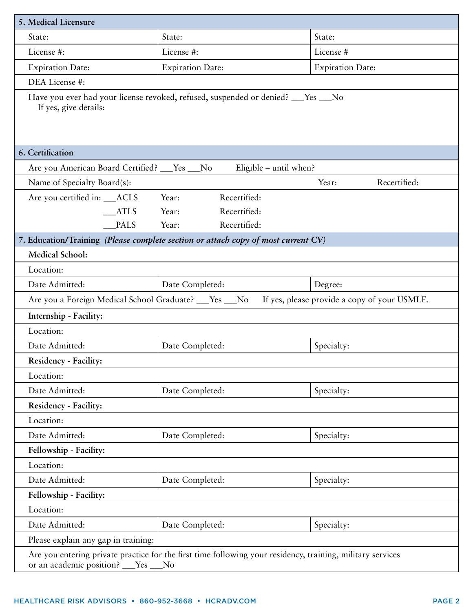| 5. Medical Licensure                                                                                                                               |                                                                                                           |                         |  |  |
|----------------------------------------------------------------------------------------------------------------------------------------------------|-----------------------------------------------------------------------------------------------------------|-------------------------|--|--|
| State:                                                                                                                                             | State:                                                                                                    | State:                  |  |  |
| License #:                                                                                                                                         | License #:                                                                                                | License #               |  |  |
| <b>Expiration Date:</b>                                                                                                                            | <b>Expiration Date:</b>                                                                                   | <b>Expiration Date:</b> |  |  |
| DEA License #:                                                                                                                                     |                                                                                                           |                         |  |  |
| Have you ever had your license revoked, refused, suspended or denied? ___Yes ___No<br>If yes, give details:                                        |                                                                                                           |                         |  |  |
| 6. Certification                                                                                                                                   |                                                                                                           |                         |  |  |
| Are you American Board Certified? ___ Yes ___ No                                                                                                   | Eligible - until when?                                                                                    |                         |  |  |
| Name of Specialty Board(s):                                                                                                                        |                                                                                                           | Recertified:<br>Year:   |  |  |
| Are you certified in: __ACLS                                                                                                                       | Recertified:<br>Year:                                                                                     |                         |  |  |
| <b>ATLS</b>                                                                                                                                        | Recertified:<br>Year:                                                                                     |                         |  |  |
| <b>PALS</b>                                                                                                                                        | Recertified:<br>Year:                                                                                     |                         |  |  |
|                                                                                                                                                    | 7. Education/Training (Please complete section or attach copy of most current CV)                         |                         |  |  |
| <b>Medical School:</b>                                                                                                                             |                                                                                                           |                         |  |  |
| Location:                                                                                                                                          |                                                                                                           |                         |  |  |
| Date Admitted:<br>Date Completed:<br>Degree:                                                                                                       |                                                                                                           |                         |  |  |
|                                                                                                                                                    | Are you a Foreign Medical School Graduate? ___ Yes ___ No<br>If yes, please provide a copy of your USMLE. |                         |  |  |
| Internship - Facility:                                                                                                                             |                                                                                                           |                         |  |  |
| Location:                                                                                                                                          |                                                                                                           |                         |  |  |
| Date Admitted:                                                                                                                                     | Date Completed:                                                                                           | Specialty:              |  |  |
| <b>Residency - Facility:</b>                                                                                                                       |                                                                                                           |                         |  |  |
| Location:                                                                                                                                          |                                                                                                           |                         |  |  |
| Date Admitted:                                                                                                                                     | Date Completed:                                                                                           | Specialty:              |  |  |
| Residency - Facility:                                                                                                                              |                                                                                                           |                         |  |  |
| Location:                                                                                                                                          |                                                                                                           |                         |  |  |
| Date Admitted:                                                                                                                                     | Date Completed:                                                                                           | Specialty:              |  |  |
| Fellowship - Facility:                                                                                                                             |                                                                                                           |                         |  |  |
| Location:                                                                                                                                          |                                                                                                           |                         |  |  |
| Date Admitted:                                                                                                                                     | Date Completed:                                                                                           | Specialty:              |  |  |
| Fellowship - Facility:                                                                                                                             |                                                                                                           |                         |  |  |
| Location:                                                                                                                                          |                                                                                                           |                         |  |  |
| Date Admitted:                                                                                                                                     | Date Completed:                                                                                           | Specialty:              |  |  |
| Please explain any gap in training:                                                                                                                |                                                                                                           |                         |  |  |
| Are you entering private practice for the first time following your residency, training, military services<br>or an academic position? __ Yes __No |                                                                                                           |                         |  |  |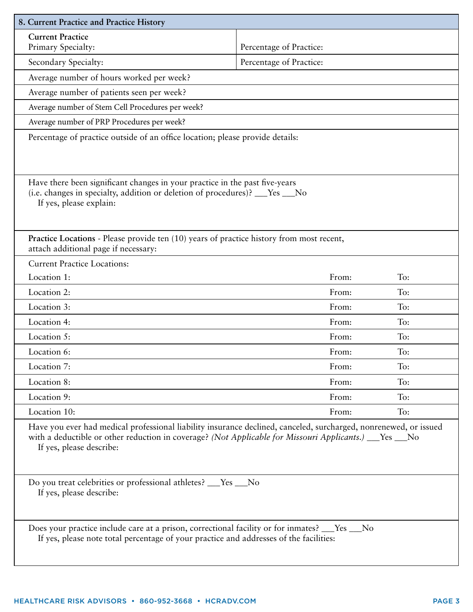| 8. Current Practice and Practice History                                                                                                                                                                                                                |                         |     |  |
|---------------------------------------------------------------------------------------------------------------------------------------------------------------------------------------------------------------------------------------------------------|-------------------------|-----|--|
| <b>Current Practice</b>                                                                                                                                                                                                                                 |                         |     |  |
| Primary Specialty:                                                                                                                                                                                                                                      | Percentage of Practice: |     |  |
| Secondary Specialty:                                                                                                                                                                                                                                    | Percentage of Practice: |     |  |
| Average number of hours worked per week?                                                                                                                                                                                                                |                         |     |  |
| Average number of patients seen per week?                                                                                                                                                                                                               |                         |     |  |
| Average number of Stem Cell Procedures per week?                                                                                                                                                                                                        |                         |     |  |
| Average number of PRP Procedures per week?                                                                                                                                                                                                              |                         |     |  |
| Percentage of practice outside of an office location; please provide details:                                                                                                                                                                           |                         |     |  |
| Have there been significant changes in your practice in the past five-years<br>(i.e. changes in specialty, addition or deletion of procedures)? ___Yes ___No<br>If yes, please explain:                                                                 |                         |     |  |
| Practice Locations - Please provide ten (10) years of practice history from most recent,<br>attach additional page if necessary:                                                                                                                        |                         |     |  |
| <b>Current Practice Locations:</b>                                                                                                                                                                                                                      |                         |     |  |
| Location 1:                                                                                                                                                                                                                                             | From:                   | To: |  |
| Location 2:                                                                                                                                                                                                                                             | From:                   | To: |  |
| Location 3:                                                                                                                                                                                                                                             | From:                   | To: |  |
| Location 4:                                                                                                                                                                                                                                             | From:                   | To: |  |
| Location 5:                                                                                                                                                                                                                                             | From:                   | To: |  |
| Location 6:                                                                                                                                                                                                                                             | From:                   | To: |  |
| Location 7:                                                                                                                                                                                                                                             | From:                   | To: |  |
| Location 8:                                                                                                                                                                                                                                             | From:                   | To: |  |
| Location 9:                                                                                                                                                                                                                                             | From:                   | To: |  |
| Location 10:                                                                                                                                                                                                                                            | From:                   | To: |  |
| Have you ever had medical professional liability insurance declined, canceled, surcharged, nonrenewed, or issued<br>with a deductible or other reduction in coverage? (Not Applicable for Missouri Applicants.) ___Yes __No<br>If yes, please describe: |                         |     |  |
| Do you treat celebrities or professional athletes? __Yes __No<br>If yes, please describe:                                                                                                                                                               |                         |     |  |
| Does your practice include care at a prison, correctional facility or for inmates? __Yes __No<br>If yes, please note total percentage of your practice and addresses of the facilities:                                                                 |                         |     |  |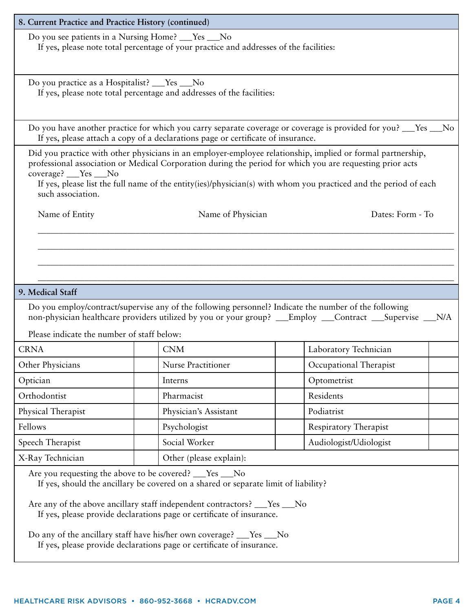| 8. Current Practice and Practice History (continued)                                                                                                                                                                                                                                                                                                                                                                                                    |                                            |                              |  |  |
|---------------------------------------------------------------------------------------------------------------------------------------------------------------------------------------------------------------------------------------------------------------------------------------------------------------------------------------------------------------------------------------------------------------------------------------------------------|--------------------------------------------|------------------------------|--|--|
| Do you see patients in a Nursing Home? ___Yes ___No<br>If yes, please note total percentage of your practice and addresses of the facilities:                                                                                                                                                                                                                                                                                                           |                                            |                              |  |  |
| Do you practice as a Hospitalist? ___Yes ___No<br>If yes, please note total percentage and addresses of the facilities:                                                                                                                                                                                                                                                                                                                                 |                                            |                              |  |  |
| Do you have another practice for which you carry separate coverage or coverage is provided for you? ___Yes __No<br>If yes, please attach a copy of a declarations page or certificate of insurance.                                                                                                                                                                                                                                                     |                                            |                              |  |  |
| Did you practice with other physicians in an employer-employee relationship, implied or formal partnership,<br>professional association or Medical Corporation during the period for which you are requesting prior acts<br>coverage? __Yes __No<br>If yes, please list the full name of the entity(ies)/physician(s) with whom you practiced and the period of each<br>such association.                                                               |                                            |                              |  |  |
| Name of Entity                                                                                                                                                                                                                                                                                                                                                                                                                                          | Name of Physician                          | Dates: Form - To             |  |  |
|                                                                                                                                                                                                                                                                                                                                                                                                                                                         |                                            |                              |  |  |
| 9. Medical Staff<br>Do you employ/contract/supervise any of the following personnel? Indicate the number of the following<br>non-physician healthcare providers utilized by you or your group? __Employ __Contract __Supervise __N/A                                                                                                                                                                                                                    |                                            |                              |  |  |
|                                                                                                                                                                                                                                                                                                                                                                                                                                                         | Please indicate the number of staff below: |                              |  |  |
| <b>CRNA</b>                                                                                                                                                                                                                                                                                                                                                                                                                                             | <b>CNM</b>                                 | Laboratory Technician        |  |  |
| Other Physicians                                                                                                                                                                                                                                                                                                                                                                                                                                        | <b>Nurse Practitioner</b>                  | Occupational Therapist       |  |  |
| Optician                                                                                                                                                                                                                                                                                                                                                                                                                                                | Interns                                    | Optometrist                  |  |  |
| Orthodontist                                                                                                                                                                                                                                                                                                                                                                                                                                            | Pharmacist                                 | Residents                    |  |  |
| Physical Therapist                                                                                                                                                                                                                                                                                                                                                                                                                                      | Physician's Assistant                      | Podiatrist                   |  |  |
| Fellows                                                                                                                                                                                                                                                                                                                                                                                                                                                 | Psychologist                               | <b>Respiratory Therapist</b> |  |  |
| Speech Therapist                                                                                                                                                                                                                                                                                                                                                                                                                                        | Social Worker                              | Audiologist/Udiologist       |  |  |
| X-Ray Technician                                                                                                                                                                                                                                                                                                                                                                                                                                        | Other (please explain):                    |                              |  |  |
| Are you requesting the above to be covered? ___Yes __No<br>If yes, should the ancillary be covered on a shared or separate limit of liability?<br>Are any of the above ancillary staff independent contractors? ___Yes ___No<br>If yes, please provide declarations page or certificate of insurance.<br>Do any of the ancillary staff have his/her own coverage? ___Yes ___No<br>If yes, please provide declarations page or certificate of insurance. |                                            |                              |  |  |
|                                                                                                                                                                                                                                                                                                                                                                                                                                                         |                                            |                              |  |  |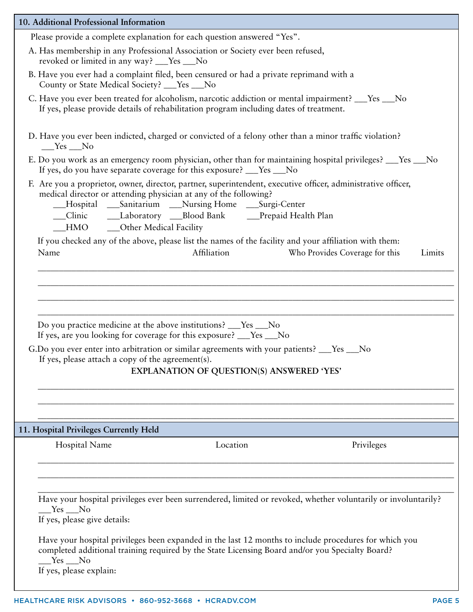| 10. Additional Professional Information                                                                                                                                                                                                         |  |  |  |
|-------------------------------------------------------------------------------------------------------------------------------------------------------------------------------------------------------------------------------------------------|--|--|--|
| Please provide a complete explanation for each question answered "Yes".                                                                                                                                                                         |  |  |  |
| A. Has membership in any Professional Association or Society ever been refused,<br>revoked or limited in any way? ___Yes ___No                                                                                                                  |  |  |  |
| B. Have you ever had a complaint filed, been censured or had a private reprimand with a<br>County or State Medical Society? ___Yes ___No                                                                                                        |  |  |  |
| C. Have you ever been treated for alcoholism, narcotic addiction or mental impairment? ___ Yes ___ No<br>If yes, please provide details of rehabilitation program including dates of treatment.                                                 |  |  |  |
| D. Have you ever been indicted, charged or convicted of a felony other than a minor traffic violation?<br>$\_\$ Yes $\_\$ No                                                                                                                    |  |  |  |
| E. Do you work as an emergency room physician, other than for maintaining hospital privileges? ___Yes ___No<br>If yes, do you have separate coverage for this exposure? ___Yes ___No                                                            |  |  |  |
| F. Are you a proprietor, owner, director, partner, superintendent, executive officer, administrative officer,<br>medical director or attending physician at any of the following?<br>__Hospital __Sanitarium __Nursing Home __Surgi-Center      |  |  |  |
| _Clinic _______Laboratory ____Blood Bank ______Prepaid Health Plan<br>HMO _____ Other Medical Facility                                                                                                                                          |  |  |  |
| If you checked any of the above, please list the names of the facility and your affiliation with them:<br>Affiliation<br>Who Provides Coverage for this<br>Name<br>Limits                                                                       |  |  |  |
|                                                                                                                                                                                                                                                 |  |  |  |
|                                                                                                                                                                                                                                                 |  |  |  |
| Do you practice medicine at the above institutions? ___Yes __No<br>If yes, are you looking for coverage for this exposure? ___Yes ___No                                                                                                         |  |  |  |
| G.Do you ever enter into arbitration or similar agreements with your patients? __Yes __No<br>If yes, please attach a copy of the agreement(s).                                                                                                  |  |  |  |
| <b>EXPLANATION OF QUESTION(S) ANSWERED 'YES'</b>                                                                                                                                                                                                |  |  |  |
|                                                                                                                                                                                                                                                 |  |  |  |
| 11. Hospital Privileges Currently Held                                                                                                                                                                                                          |  |  |  |
| Hospital Name<br>Location<br>Privileges                                                                                                                                                                                                         |  |  |  |
|                                                                                                                                                                                                                                                 |  |  |  |
| Have your hospital privileges ever been surrendered, limited or revoked, whether voluntarily or involuntarily?                                                                                                                                  |  |  |  |
| _Yes ___No<br>If yes, please give details:                                                                                                                                                                                                      |  |  |  |
| Have your hospital privileges been expanded in the last 12 months to include procedures for which you<br>completed additional training required by the State Licensing Board and/or you Specialty Board?<br>$Yes$ No<br>If yes, please explain: |  |  |  |
|                                                                                                                                                                                                                                                 |  |  |  |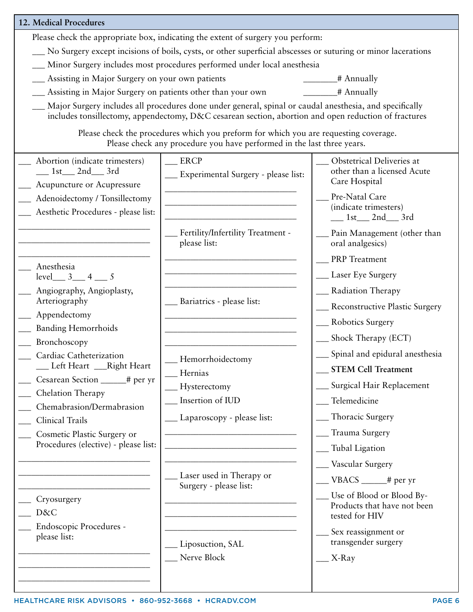| 12. Medical Procedures                                                                           |                                                                                                                                                                                                                 |                                                                            |  |
|--------------------------------------------------------------------------------------------------|-----------------------------------------------------------------------------------------------------------------------------------------------------------------------------------------------------------------|----------------------------------------------------------------------------|--|
|                                                                                                  | Please check the appropriate box, indicating the extent of surgery you perform:                                                                                                                                 |                                                                            |  |
|                                                                                                  | No Surgery except incisions of boils, cysts, or other superficial abscesses or suturing or minor lacerations                                                                                                    |                                                                            |  |
|                                                                                                  | __ Minor Surgery includes most procedures performed under local anesthesia                                                                                                                                      |                                                                            |  |
| _ Assisting in Major Surgery on your own patients<br>$\frac{1}{\sqrt{1-\frac{1}{2}}}\$ Annually  |                                                                                                                                                                                                                 |                                                                            |  |
| __ Assisting in Major Surgery on patients other than your own                                    |                                                                                                                                                                                                                 | $\frac{1}{2}$ # Annually                                                   |  |
|                                                                                                  | Major Surgery includes all procedures done under general, spinal or caudal anesthesia, and specifically<br>includes tonsillectomy, appendectomy, D&C cesarean section, abortion and open reduction of fractures |                                                                            |  |
|                                                                                                  | Please check the procedures which you preform for which you are requesting coverage.<br>Please check any procedure you have performed in the last three years.                                                  |                                                                            |  |
| Abortion (indicate trimesters)                                                                   | <b>ERCP</b>                                                                                                                                                                                                     | Obstetrical Deliveries at                                                  |  |
| $1st$ 2nd 3rd<br>Acupuncture or Acupressure                                                      | __ Experimental Surgery - please list:                                                                                                                                                                          | other than a licensed Acute<br>Care Hospital                               |  |
| Adenoidectomy / Tonsillectomy                                                                    | Pre-Natal Care                                                                                                                                                                                                  |                                                                            |  |
| (indicate trimesters)<br>Aesthetic Procedures - please list:<br>$\_\_$ 1st $\_\_$ 2nd $\_\_$ 3rd |                                                                                                                                                                                                                 |                                                                            |  |
|                                                                                                  | Fertility/Infertility Treatment -<br>please list:                                                                                                                                                               | Pain Management (other than<br>oral analgesics)                            |  |
| Anesthesia                                                                                       | <u> 1986 - Jan Barbara, manazarta da </u>                                                                                                                                                                       | <b>PRP</b> Treatment                                                       |  |
| $level$ $3$ $4$ $5$                                                                              |                                                                                                                                                                                                                 | __ Laser Eye Surgery                                                       |  |
| Angiography, Angioplasty,<br>Arteriography                                                       | Bariatrics - please list:                                                                                                                                                                                       | __ Radiation Therapy                                                       |  |
| Appendectomy                                                                                     |                                                                                                                                                                                                                 | __ Reconstructive Plastic Surgery                                          |  |
| <b>Banding Hemorrhoids</b>                                                                       |                                                                                                                                                                                                                 | __ Robotics Surgery                                                        |  |
| Bronchoscopy                                                                                     |                                                                                                                                                                                                                 | __ Shock Therapy (ECT)                                                     |  |
| Cardiac Catheterization                                                                          | Hemorrhoidectomy                                                                                                                                                                                                | __ Spinal and epidural anesthesia                                          |  |
| Left Heart ___Right Heart                                                                        | Hernias                                                                                                                                                                                                         | <b>STEM Cell Treatment</b>                                                 |  |
| Cesarean Section _____# per yr                                                                   | Hysterectomy                                                                                                                                                                                                    | __ Surgical Hair Replacement                                               |  |
| Chelation Therapy                                                                                | Insertion of IUD                                                                                                                                                                                                | Telemedicine                                                               |  |
| Chemabrasion/Dermabrasion                                                                        | _ Laparoscopy - please list:                                                                                                                                                                                    | _ Thoracic Surgery                                                         |  |
| <b>Clinical Trails</b>                                                                           |                                                                                                                                                                                                                 | <sub>—</sub> Trauma Surgery                                                |  |
| Cosmetic Plastic Surgery or<br>Procedures (elective) - please list:                              |                                                                                                                                                                                                                 |                                                                            |  |
|                                                                                                  |                                                                                                                                                                                                                 | _Tubal Ligation                                                            |  |
|                                                                                                  | Laser used in Therapy or                                                                                                                                                                                        | __ Vascular Surgery                                                        |  |
|                                                                                                  | Surgery - please list:                                                                                                                                                                                          | $\angle$ VBACS $\angle$ # per yr                                           |  |
| Cryosurgery<br>D&C                                                                               |                                                                                                                                                                                                                 | Use of Blood or Blood By-<br>Products that have not been<br>tested for HIV |  |
| Endoscopic Procedures -                                                                          |                                                                                                                                                                                                                 |                                                                            |  |
| please list:                                                                                     | Liposuction, SAL                                                                                                                                                                                                | Sex reassignment or<br>transgender surgery                                 |  |
|                                                                                                  | Nerve Block                                                                                                                                                                                                     | $X-Ray$                                                                    |  |
|                                                                                                  |                                                                                                                                                                                                                 |                                                                            |  |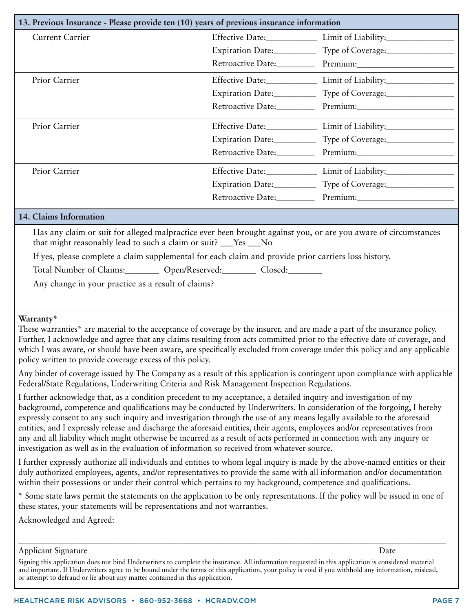| 13. Previous Insurance - Please provide ten (10) years of previous insurance information                                               |                   |                                                                                                                |  |
|----------------------------------------------------------------------------------------------------------------------------------------|-------------------|----------------------------------------------------------------------------------------------------------------|--|
| <b>Current Carrier</b>                                                                                                                 |                   |                                                                                                                |  |
|                                                                                                                                        | Expiration Date:  | Type of Coverage:                                                                                              |  |
|                                                                                                                                        |                   |                                                                                                                |  |
| Prior Carrier                                                                                                                          |                   | Effective Date: Limit of Liability:                                                                            |  |
|                                                                                                                                        | Expiration Date:  |                                                                                                                |  |
|                                                                                                                                        | Retroactive Date: | Premium:                                                                                                       |  |
| Prior Carrier                                                                                                                          |                   |                                                                                                                |  |
|                                                                                                                                        | Expiration Date:  | Type of Coverage:                                                                                              |  |
|                                                                                                                                        |                   | Retroactive Date: Premium: Premium:                                                                            |  |
| Prior Carrier                                                                                                                          |                   |                                                                                                                |  |
|                                                                                                                                        |                   | Expiration Date: Type of Coverage: 1998                                                                        |  |
|                                                                                                                                        |                   |                                                                                                                |  |
| 14. Claims Information                                                                                                                 |                   |                                                                                                                |  |
| that might reasonably lead to such a claim or suit? __Yes __No                                                                         |                   | Has any claim or suit for alleged malpractice ever been brought against you, or are you aware of circumstances |  |
| If yes, please complete a claim supplemental for each claim and provide prior carriers loss history.                                   |                   |                                                                                                                |  |
| Total Number of Claims:__________ Open/Reserved:_________ Closed:_________                                                             |                   |                                                                                                                |  |
| Any change in your practice as a result of claims?                                                                                     |                   |                                                                                                                |  |
|                                                                                                                                        |                   |                                                                                                                |  |
| Warranty*<br>These warranties* are material to the acceptance of coverage by the insurer, and are made a part of the insurance policy. |                   |                                                                                                                |  |

Further, I acknowledge and agree that any claims resulting from acts committed prior to the effective date of coverage, and which I was aware, or should have been aware, are specifically excluded from coverage under this policy and any applicable policy written to provide coverage excess of this policy.

Any binder of coverage issued by The Company as a result of this application is contingent upon compliance with applicable Federal/State Regulations, Underwriting Criteria and Risk Management Inspection Regulations.

I further acknowledge that, as a condition precedent to my acceptance, a detailed inquiry and investigation of my background, competence and qualifications may be conducted by Underwriters. In consideration of the forgoing, I hereby expressly consent to any such inquiry and investigation through the use of any means legally available to the aforesaid entities, and I expressly release and discharge the aforesaid entities, their agents, employees and/or representatives from any and all liability which might otherwise be incurred as a result of acts performed in connection with any inquiry or investigation as well as in the evaluation of information so received from whatever source.

I further expressly authorize all individuals and entities to whom legal inquiry is made by the above-named entities or their duly authorized employees, agents, and/or representatives to provide the same with all information and/or documentation within their possessions or under their control which pertains to my background, competence and qualifications.

\* Some state laws permit the statements on the application to be only representations. If the policy will be issued in one of these states, your statements will be representations and not warranties.

\_\_\_\_\_\_\_\_\_\_\_\_\_\_\_\_\_\_\_\_\_\_\_\_\_\_\_\_\_\_\_\_\_\_\_\_\_\_\_\_\_\_\_\_\_\_\_\_\_\_\_\_\_\_\_\_\_\_\_\_\_\_\_\_\_\_\_\_\_\_\_\_\_\_\_\_\_\_\_\_\_\_\_\_\_\_\_\_\_\_\_\_\_\_\_\_\_\_\_\_\_\_\_\_\_\_

Acknowledged and Agreed:

## Applicant Signature Date Date of the Date of the Date of the Date of the Date of the Date of the Date of the D

Signing this application does not bind Underwriters to complete the insurance. All information requested in this application is considered material and important. If Underwriters agree to be bound under the terms of this application, your policy is void if you withhold any information, mislead, or attempt to defraud or lie about any matter contained in this application.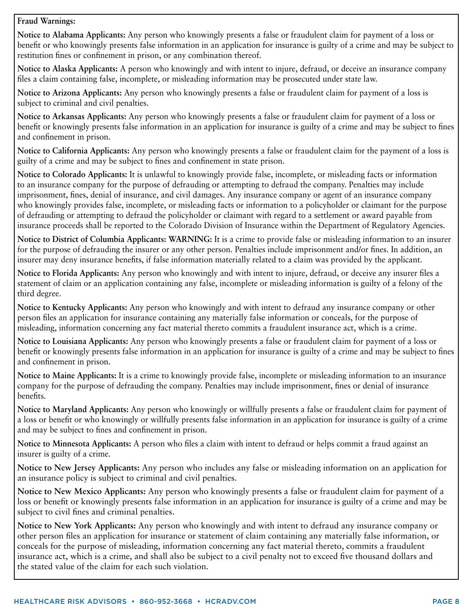## **Fraud Warnings:**

**Notice to Alabama Applicants:** Any person who knowingly presents a false or fraudulent claim for payment of a loss or benefit or who knowingly presents false information in an application for insurance is guilty of a crime and may be subject to restitution fines or confinement in prison, or any combination thereof.

**Notice to Alaska Applicants:** A person who knowingly and with intent to injure, defraud, or deceive an insurance company files a claim containing false, incomplete, or misleading information may be prosecuted under state law.

**Notice to Arizona Applicants:** Any person who knowingly presents a false or fraudulent claim for payment of a loss is subject to criminal and civil penalties.

**Notice to Arkansas Applicants:** Any person who knowingly presents a false or fraudulent claim for payment of a loss or benefit or knowingly presents false information in an application for insurance is guilty of a crime and may be subject to fines and confinement in prison.

**Notice to California Applicants:** Any person who knowingly presents a false or fraudulent claim for the payment of a loss is guilty of a crime and may be subject to fines and confinement in state prison.

**Notice to Colorado Applicants:** It is unlawful to knowingly provide false, incomplete, or misleading facts or information to an insurance company for the purpose of defrauding or attempting to defraud the company. Penalties may include imprisonment, fines, denial of insurance, and civil damages. Any insurance company or agent of an insurance company who knowingly provides false, incomplete, or misleading facts or information to a policyholder or claimant for the purpose of defrauding or attempting to defraud the policyholder or claimant with regard to a settlement or award payable from insurance proceeds shall be reported to the Colorado Division of Insurance within the Department of Regulatory Agencies.

**Notice to District of Columbia Applicants: WARNING:** It is a crime to provide false or misleading information to an insurer for the purpose of defrauding the insurer or any other person. Penalties include imprisonment and/or fines. In addition, an insurer may deny insurance benefits, if false information materially related to a claim was provided by the applicant.

**Notice to Florida Applicants:** Any person who knowingly and with intent to injure, defraud, or deceive any insurer files a statement of claim or an application containing any false, incomplete or misleading information is guilty of a felony of the third degree.

**Notice to Kentucky Applicants:** Any person who knowingly and with intent to defraud any insurance company or other person files an application for insurance containing any materially false information or conceals, for the purpose of misleading, information concerning any fact material thereto commits a fraudulent insurance act, which is a crime.

**Notice to Louisiana Applicants:** Any person who knowingly presents a false or fraudulent claim for payment of a loss or benefit or knowingly presents false information in an application for insurance is guilty of a crime and may be subject to fines and confinement in prison.

**Notice to Maine Applicants:** It is a crime to knowingly provide false, incomplete or misleading information to an insurance company for the purpose of defrauding the company. Penalties may include imprisonment, fines or denial of insurance benefits.

**Notice to Maryland Applicants:** Any person who knowingly or willfully presents a false or fraudulent claim for payment of a loss or benefit or who knowingly or willfully presents false information in an application for insurance is guilty of a crime and may be subject to fines and confinement in prison.

**Notice to Minnesota Applicants:** A person who files a claim with intent to defraud or helps commit a fraud against an insurer is guilty of a crime.

**Notice to New Jersey Applicants:** Any person who includes any false or misleading information on an application for an insurance policy is subject to criminal and civil penalties.

**Notice to New Mexico Applicants:** Any person who knowingly presents a false or fraudulent claim for payment of a loss or benefit or knowingly presents false information in an application for insurance is guilty of a crime and may be subject to civil fines and criminal penalties.

**Notice to New York Applicants:** Any person who knowingly and with intent to defraud any insurance company or other person files an application for insurance or statement of claim containing any materially false information, or conceals for the purpose of misleading, information concerning any fact material thereto, commits a fraudulent insurance act, which is a crime, and shall also be subject to a civil penalty not to exceed five thousand dollars and the stated value of the claim for each such violation.